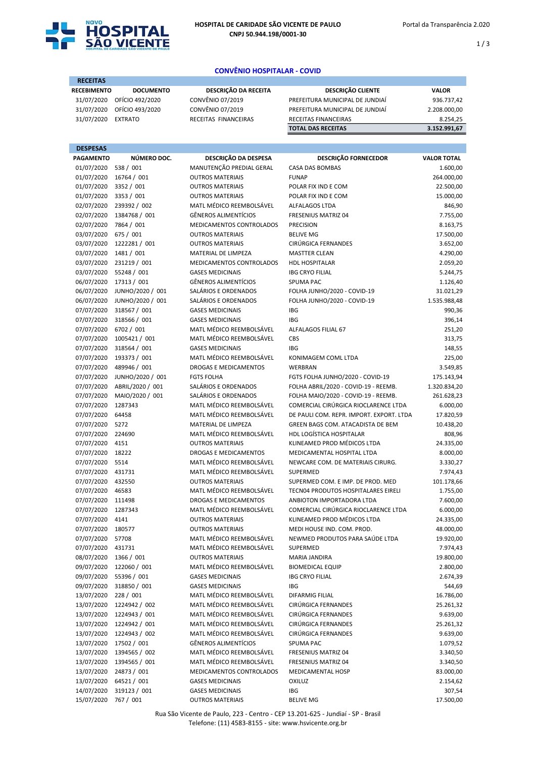

1 / 3

## CONVÊNIO HOSPITALAR - COVID

| <b>RECEITAS</b>                       |                                                            |                                                         |                                                                          |                            |
|---------------------------------------|------------------------------------------------------------|---------------------------------------------------------|--------------------------------------------------------------------------|----------------------------|
| <b>RECEBIMENTO</b>                    | <b>DOCUMENTO</b>                                           | DESCRIÇÃO DA RECEITA                                    | <b>DESCRIÇÃO CLIENTE</b>                                                 | <b>VALOR</b>               |
| 31/07/2020                            | OFÍCIO 492/2020                                            | CONVÊNIO 07/2019                                        | PREFEITURA MUNICIPAL DE JUNDIAÍ                                          | 936.737,42                 |
| 31/07/2020                            | OFÍCIO 493/2020                                            | CONVÊNIO 07/2019                                        | PREFEITURA MUNICIPAL DE JUNDIAÍ                                          | 2.208.000,00               |
| 31/07/2020                            | <b>EXTRATO</b>                                             | RECEITAS FINANCEIRAS                                    | RECEITAS FINANCEIRAS                                                     | 8.254,25                   |
|                                       |                                                            |                                                         | <b>TOTAL DAS RECEITAS</b>                                                | 3.152.991,67               |
|                                       |                                                            |                                                         |                                                                          |                            |
| <b>DESPESAS</b>                       |                                                            |                                                         |                                                                          |                            |
| <b>PAGAMENTO</b>                      | NÚMERO DOC.                                                | DESCRIÇÃO DA DESPESA                                    | <b>DESCRIÇÃO FORNECEDOR</b>                                              | <b>VALOR TOTAL</b>         |
| 01/07/2020                            | 538 / 001                                                  | MANUTENÇÃO PREDIAL GERAL                                | <b>CASA DAS BOMBAS</b>                                                   | 1.600,00                   |
| 01/07/2020                            | 16764 / 001                                                | <b>OUTROS MATERIAIS</b>                                 | <b>FUNAP</b>                                                             | 264.000,00                 |
| 01/07/2020 3352 / 001                 |                                                            | <b>OUTROS MATERIAIS</b>                                 | POLAR FIX IND E COM                                                      | 22.500,00                  |
| 01/07/2020 3353 / 001                 |                                                            | <b>OUTROS MATERIAIS</b>                                 | POLAR FIX IND E COM                                                      | 15.000,00                  |
|                                       | 02/07/2020 239392 / 002                                    | MATL MÉDICO REEMBOLSÁVEL                                | <b>ALFALAGOS LTDA</b>                                                    | 846,90                     |
| 02/07/2020 7864 / 001                 | 02/07/2020 1384768 / 001                                   | <b>GÊNEROS ALIMENTÍCIOS</b><br>MEDICAMENTOS CONTROLADOS | FRESENIUS MATRIZ 04<br><b>PRECISION</b>                                  | 7.755,00                   |
| 03/07/2020 675 / 001                  |                                                            | <b>OUTROS MATERIAIS</b>                                 | <b>BELIVE MG</b>                                                         | 8.163,75<br>17.500,00      |
|                                       | 03/07/2020 1222281 / 001                                   | <b>OUTROS MATERIAIS</b>                                 | CIRÚRGICA FERNANDES                                                      | 3.652,00                   |
| 03/07/2020 1481 / 001                 |                                                            | MATERIAL DE LIMPEZA                                     | <b>MASTTER CLEAN</b>                                                     | 4.290,00                   |
|                                       | 03/07/2020 231219 / 001                                    | MEDICAMENTOS CONTROLADOS                                | HDL HOSPITALAR                                                           | 2.059,20                   |
|                                       | 03/07/2020 55248 / 001                                     | <b>GASES MEDICINAIS</b>                                 | <b>IBG CRYO FILIAL</b>                                                   | 5.244,75                   |
|                                       | 06/07/2020 17313 / 001                                     | <b>GÊNEROS ALIMENTÍCIOS</b>                             | <b>SPUMA PAC</b>                                                         | 1.126,40                   |
|                                       | 06/07/2020 JUNHO/2020 / 001                                | SALÁRIOS E ORDENADOS                                    | FOLHA JUNHO/2020 - COVID-19                                              | 31.021,29                  |
|                                       | 06/07/2020 JUNHO/2020 / 001                                | SALÁRIOS E ORDENADOS                                    | FOLHA JUNHO/2020 - COVID-19                                              | 1.535.988,48               |
|                                       | 07/07/2020 318567 / 001                                    | <b>GASES MEDICINAIS</b>                                 | <b>IBG</b>                                                               | 990,36                     |
|                                       | 07/07/2020 318566 / 001                                    | <b>GASES MEDICINAIS</b>                                 | <b>IBG</b>                                                               | 396,14                     |
| 07/07/2020                            | 6702 / 001                                                 | MATL MÉDICO REEMBOLSÁVEL                                | ALFALAGOS FILIAL 67                                                      | 251,20                     |
|                                       | 07/07/2020 1005421 / 001                                   | MATL MÉDICO REEMBOLSÁVEL                                | CBS                                                                      | 313,75                     |
|                                       | 07/07/2020 318564 / 001                                    | <b>GASES MEDICINAIS</b>                                 | <b>IBG</b>                                                               | 148,55                     |
|                                       | 07/07/2020 193373 / 001                                    | MATL MÉDICO REEMBOLSÁVEL                                | KONIMAGEM COML LTDA                                                      | 225,00                     |
| 07/07/2020                            | 489946 / 001                                               | DROGAS E MEDICAMENTOS                                   | WERBRAN                                                                  | 3.549,85                   |
|                                       | 07/07/2020 JUNHO/2020 / 001<br>07/07/2020 ABRIL/2020 / 001 | <b>FGTS FOLHA</b><br>SALÁRIOS E ORDENADOS               | FGTS FOLHA JUNHO/2020 - COVID-19<br>FOLHA ABRIL/2020 - COVID-19 - REEMB. | 175.143,94<br>1.320.834,20 |
|                                       | 07/07/2020 MAIO/2020 / 001                                 | SALÁRIOS E ORDENADOS                                    | FOLHA MAIO/2020 - COVID-19 - REEMB.                                      | 261.628,23                 |
| 07/07/2020                            | 1287343                                                    | MATL MÉDICO REEMBOLSÁVEL                                | COMERCIAL CIRÚRGICA RIOCLARENCE LTDA                                     | 6.000,00                   |
| 07/07/2020 64458                      |                                                            | MATL MÉDICO REEMBOLSÁVEL                                | DE PAULI COM. REPR. IMPORT. EXPORT. LTDA                                 | 17.820,59                  |
| 07/07/2020 5272                       |                                                            | MATERIAL DE LIMPEZA                                     | GREEN BAGS COM. ATACADISTA DE BEM                                        | 10.438,20                  |
| 07/07/2020 224690                     |                                                            | MATL MÉDICO REEMBOLSÁVEL                                | HDL LOGÍSTICA HOSPITALAR                                                 | 808,96                     |
| 07/07/2020 4151                       |                                                            | <b>OUTROS MATERIAIS</b>                                 | KLINEAMED PROD MÉDICOS LTDA                                              | 24.335,00                  |
| 07/07/2020 18222                      |                                                            | <b>DROGAS E MEDICAMENTOS</b>                            | MEDICAMENTAL HOSPITAL LTDA                                               | 8.000,00                   |
| 07/07/2020 5514                       |                                                            | MATL MÉDICO REEMBOLSÁVEL                                | NEWCARE COM. DE MATERIAIS CIRURG.                                        | 3.330,27                   |
| 07/07/2020 431731                     |                                                            | MATL MÉDICO REEMBOLSÁVEL                                | <b>SUPERMED</b>                                                          | 7.974,43                   |
| 07/07/2020 432550                     |                                                            | <b>OUTROS MATERIAIS</b>                                 | SUPERMED COM. E IMP. DE PROD. MED                                        | 101.178,66                 |
| 07/07/2020 46583                      |                                                            | MATL MÉDICO REEMBOLSÁVEL                                | TECN04 PRODUTOS HOSPITALARES EIRELI                                      | 1.755,00                   |
| 07/07/2020 111498                     |                                                            | DROGAS E MEDICAMENTOS                                   | ANBIOTON IMPORTADORA LTDA                                                | 7.600,00                   |
| 07/07/2020 1287343                    |                                                            | MATL MÉDICO REEMBOLSÁVEL                                | COMERCIAL CIRÚRGICA RIOCLARENCE LTDA                                     | 6.000,00                   |
| 07/07/2020 4141                       |                                                            | <b>OUTROS MATERIAIS</b>                                 | KLINEAMED PROD MÉDICOS LTDA                                              | 24.335,00                  |
| 07/07/2020 180577<br>07/07/2020 57708 |                                                            | <b>OUTROS MATERIAIS</b><br>MATL MÉDICO REEMBOLSÁVEL     | MEDI HOUSE IND. COM. PROD.<br>NEWMED PRODUTOS PARA SAÚDE LTDA            | 48.000,00<br>19.920,00     |
| 07/07/2020 431731                     |                                                            | MATL MÉDICO REEMBOLSÁVEL                                | SUPERMED                                                                 | 7.974,43                   |
| 08/07/2020 1366 / 001                 |                                                            | <b>OUTROS MATERIAIS</b>                                 | MARIA JANDIRA                                                            | 19.800,00                  |
|                                       | 09/07/2020 122060 / 001                                    | MATL MÉDICO REEMBOLSÁVEL                                | <b>BIOMEDICAL EQUIP</b>                                                  | 2.800,00                   |
|                                       | 09/07/2020 55396 / 001                                     | <b>GASES MEDICINAIS</b>                                 | <b>IBG CRYO FILIAL</b>                                                   | 2.674,39                   |
|                                       | 09/07/2020 318850 / 001                                    | <b>GASES MEDICINAIS</b>                                 | <b>IBG</b>                                                               | 544,69                     |
| 13/07/2020 228 / 001                  |                                                            | MATL MÉDICO REEMBOLSÁVEL                                | DIFARMIG FILIAL                                                          | 16.786,00                  |
|                                       | 13/07/2020 1224942 / 002                                   | MATL MÉDICO REEMBOLSÁVEL                                | CIRÚRGICA FERNANDES                                                      | 25.261,32                  |
|                                       | 13/07/2020 1224943 / 001                                   | MATL MÉDICO REEMBOLSÁVEL                                | CIRÚRGICA FERNANDES                                                      | 9.639,00                   |
|                                       | 13/07/2020 1224942 / 001                                   | MATL MÉDICO REEMBOLSÁVEL                                | CIRÚRGICA FERNANDES                                                      | 25.261,32                  |
|                                       | 13/07/2020 1224943 / 002                                   | MATL MÉDICO REEMBOLSÁVEL                                | CIRÚRGICA FERNANDES                                                      | 9.639,00                   |
|                                       | 13/07/2020 17502 / 001                                     | <b>GÊNEROS ALIMENTÍCIOS</b>                             | SPUMA PAC                                                                | 1.079,52                   |
|                                       | 13/07/2020 1394565 / 002                                   | MATL MÉDICO REEMBOLSÁVEL                                | FRESENIUS MATRIZ 04                                                      | 3.340,50                   |
|                                       | 13/07/2020 1394565 / 001                                   | MATL MÉDICO REEMBOLSÁVEL                                | FRESENIUS MATRIZ 04                                                      | 3.340,50                   |
|                                       | 13/07/2020 24873 / 001                                     | MEDICAMENTOS CONTROLADOS                                | MEDICAMENTAL HOSP                                                        | 83.000,00                  |
|                                       | 13/07/2020 64521 / 001<br>14/07/2020 319123 / 001          | <b>GASES MEDICINAIS</b><br><b>GASES MEDICINAIS</b>      | <b>OXILUZ</b><br>IBG                                                     | 2.154,62<br>307,54         |
| 15/07/2020 767 / 001                  |                                                            | <b>OUTROS MATERIAIS</b>                                 | <b>BELIVE MG</b>                                                         | 17.500,00                  |
|                                       |                                                            |                                                         |                                                                          |                            |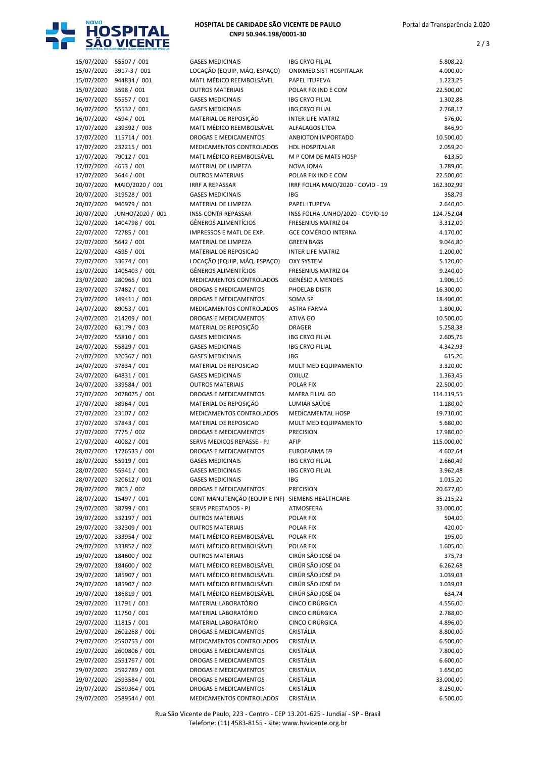

## HOSPITAL DE CARIDADE SÃO VICENTE DE PAULO CNPJ 50.944.198/0001-30

2 / 3

|                          | 15/07/2020 55507 / 001        | <b>GASES MEDICINAIS</b>                                 | <b>IBG CRYO FILIAL</b>                         | 5.808,22              |
|--------------------------|-------------------------------|---------------------------------------------------------|------------------------------------------------|-----------------------|
| 15/07/2020               | 3917-3 / 001                  | LOCAÇÃO (EQUIP, MÁQ. ESPAÇO)                            | ONIXMED SIST HOSPITALAR                        | 4.000,00              |
|                          | 15/07/2020 944834 / 001       | MATL MÉDICO REEMBOLSÁVEL                                | PAPEL ITUPEVA                                  | 1.223,25              |
| 15/07/2020               | 3598 / 001                    | <b>OUTROS MATERIAIS</b>                                 | POLAR FIX IND E COM                            | 22.500,00             |
|                          | 16/07/2020 55557 / 001        | <b>GASES MEDICINAIS</b>                                 | <b>IBG CRYO FILIAL</b>                         | 1.302,88              |
| 16/07/2020               | 55532 / 001                   | <b>GASES MEDICINAIS</b>                                 | <b>IBG CRYO FILIAL</b>                         | 2.768,17              |
| 16/07/2020 4594 / 001    |                               | MATERIAL DE REPOSIÇÃO                                   | <b>INTER LIFE MATRIZ</b>                       | 576,00                |
| 17/07/2020               | 239392 / 003                  | MATL MÉDICO REEMBOLSÁVEL                                | ALFALAGOS LTDA                                 | 846,90                |
|                          | 17/07/2020 115714 / 001       | DROGAS E MEDICAMENTOS                                   | ANBIOTON IMPORTADO                             | 10.500,00             |
|                          | 17/07/2020 232215 / 001       | MEDICAMENTOS CONTROLADOS                                | <b>HDL HOSPITALAR</b>                          | 2.059,20              |
| 17/07/2020               | 79012 / 001                   | MATL MÉDICO REEMBOLSÁVEL                                | M P COM DE MATS HOSP                           | 613,50                |
| 17/07/2020               | 4653 / 001                    | MATERIAL DE LIMPEZA                                     | NOVA JOMA                                      | 3.789,00              |
| 17/07/2020               | 3644 / 001                    | <b>OUTROS MATERIAIS</b>                                 | POLAR FIX IND E COM                            | 22.500,00             |
| 20/07/2020               | MAIO/2020 / 001               | <b>IRRF A REPASSAR</b>                                  | IRRF FOLHA MAIO/2020 - COVID - 19              | 162.302,99            |
| 20/07/2020               | 319528 / 001                  | <b>GASES MEDICINAIS</b>                                 | <b>IBG</b>                                     | 358,79                |
| 20/07/2020               | 946979 / 001                  | MATERIAL DE LIMPEZA                                     | PAPEL ITUPEVA                                  | 2.640,00              |
| 20/07/2020               | JUNHO/2020 / 001              | <b>INSS-CONTR REPASSAR</b>                              | INSS FOLHA JUNHO/2020 - COVID-19               | 124.752,04            |
| 22/07/2020               | 1404798 / 001                 | <b>GÊNEROS ALIMENTÍCIOS</b>                             | FRESENIUS MATRIZ 04                            | 3.312,00              |
|                          | 22/07/2020 72785 / 001        | IMPRESSOS E MATL DE EXP.                                | <b>GCE COMÉRCIO INTERNA</b>                    | 4.170,00              |
| 22/07/2020               | 5642 / 001                    | MATERIAL DE LIMPEZA                                     | <b>GREEN BAGS</b><br><b>INTER LIFE MATRIZ</b>  | 9.046,80              |
| 22/07/2020               | 4595 / 001<br>33674 / 001     | MATERIAL DE REPOSICAO                                   |                                                | 1.200,00              |
| 22/07/2020               |                               | LOCAÇÃO (EQUIP, MÁQ. ESPAÇO)                            | <b>OXY SYSTEM</b>                              | 5.120,00              |
| 23/07/2020               | 1405403 / 001<br>280965 / 001 | <b>GÊNEROS ALIMENTÍCIOS</b><br>MEDICAMENTOS CONTROLADOS | FRESENIUS MATRIZ 04<br><b>GENÉSIO A MENDES</b> | 9.240,00              |
| 23/07/2020<br>23/07/2020 | 37482 / 001                   | DROGAS E MEDICAMENTOS                                   | PHOELAB DISTR                                  | 1.906,10<br>16.300,00 |
| 23/07/2020               | 149411 / 001                  | DROGAS E MEDICAMENTOS                                   | SOMA SP                                        | 18.400,00             |
|                          | 24/07/2020 89053 / 001        | MEDICAMENTOS CONTROLADOS                                | <b>ASTRA FARMA</b>                             | 1.800,00              |
| 24/07/2020               | 214209 / 001                  | DROGAS E MEDICAMENTOS                                   | ATIVA GO                                       | 10.500,00             |
| 24/07/2020               | 63179 / 003                   | MATERIAL DE REPOSIÇÃO                                   | <b>DRAGER</b>                                  | 5.258,38              |
|                          | 24/07/2020 55810 / 001        | <b>GASES MEDICINAIS</b>                                 | <b>IBG CRYO FILIAL</b>                         | 2.605,76              |
|                          | 24/07/2020 55829 / 001        | <b>GASES MEDICINAIS</b>                                 | <b>IBG CRYO FILIAL</b>                         | 4.342,93              |
|                          | 24/07/2020 320367 / 001       | <b>GASES MEDICINAIS</b>                                 | <b>IBG</b>                                     | 615,20                |
| 24/07/2020               | 37834 / 001                   | MATERIAL DE REPOSICAO                                   | MULT MED EQUIPAMENTO                           | 3.320,00              |
|                          | 24/07/2020 64831 / 001        | <b>GASES MEDICINAIS</b>                                 | OXILUZ                                         | 1.363,45              |
| 24/07/2020               | 339584 / 001                  | <b>OUTROS MATERIAIS</b>                                 | POLAR FIX                                      | 22.500,00             |
| 27/07/2020               | 2078075 / 001                 | DROGAS E MEDICAMENTOS                                   | MAFRA FILIAL GO                                | 114.119,55            |
| 27/07/2020               | 38964 / 001                   | MATERIAL DE REPOSIÇÃO                                   | LUMIAR SAÚDE                                   | 1.180,00              |
| 27/07/2020               | 23107 / 002                   | MEDICAMENTOS CONTROLADOS                                | MEDICAMENTAL HOSP                              | 19.710,00             |
| 27/07/2020               | 37843 / 001                   | MATERIAL DE REPOSICAO                                   | MULT MED EQUIPAMENTO                           | 5.680,00              |
| 27/07/2020               | 7775 / 002                    | DROGAS E MEDICAMENTOS                                   | <b>PRECISION</b>                               | 17.980,00             |
| 27/07/2020               | 40082 / 001                   | SERVS MEDICOS REPASSE - PJ                              | AFIP                                           | 115.000,00            |
|                          | 28/07/2020 1726533 / 001      | DROGAS E MEDICAMENTOS                                   | EUROFARMA 69                                   | 4.602,64              |
|                          | 28/07/2020 55919 / 001        | <b>GASES MEDICINAIS</b>                                 | <b>IBG CRYO FILIAL</b>                         | 2.660,49              |
|                          | 28/07/2020 55941 / 001        | <b>GASES MEDICINAIS</b>                                 | <b>IBG CRYO FILIAL</b>                         | 3.962,48              |
| 28/07/2020               | 320612 / 001                  | <b>GASES MEDICINAIS</b>                                 | IBG                                            | 1.015,20              |
| 28/07/2020               | 7803 / 002                    | DROGAS E MEDICAMENTOS                                   | PRECISION                                      | 20.677,00             |
| 28/07/2020               | 15497 / 001                   | CONT MANUTENÇÃO (EQUIP E INF)                           | SIEMENS HEALTHCARE                             | 35.215,22             |
| 29/07/2020               | 38799 / 001                   | SERVS PRESTADOS - PJ                                    | ATMOSFERA                                      | 33.000,00             |
| 29/07/2020               | 332197 / 001                  | <b>OUTROS MATERIAIS</b>                                 | POLAR FIX                                      | 504,00                |
| 29/07/2020               | 332309 / 001                  | <b>OUTROS MATERIAIS</b>                                 | POLAR FIX                                      | 420,00                |
| 29/07/2020               | 333954 / 002                  | MATL MÉDICO REEMBOLSÁVEL                                | POLAR FIX                                      | 195,00                |
| 29/07/2020               | 333852 / 002                  | MATL MÉDICO REEMBOLSÁVEL                                | POLAR FIX                                      | 1.605,00              |
| 29/07/2020               | 184600 / 002                  | <b>OUTROS MATERIAIS</b>                                 | CIRÚR SÃO JOSÉ 04                              | 375,73                |
| 29/07/2020               | 184600 / 002                  | MATL MÉDICO REEMBOLSÁVEL                                | CIRÚR SÃO JOSÉ 04                              | 6.262,68              |
| 29/07/2020               | 185907 / 001                  | MATL MÉDICO REEMBOLSÁVEL                                | CIRÚR SÃO JOSÉ 04                              | 1.039,03              |
| 29/07/2020               | 185907 / 002                  | MATL MÉDICO REEMBOLSÁVEL                                | CIRÚR SÃO JOSÉ 04                              | 1.039,03              |
| 29/07/2020               | 186819 / 001                  | MATL MÉDICO REEMBOLSÁVEL                                | CIRÚR SÃO JOSÉ 04                              | 634,74                |
| 29/07/2020               | 11791 / 001                   | MATERIAL LABORATÓRIO                                    | CINCO CIRÚRGICA                                | 4.556,00              |
| 29/07/2020               | 11750 / 001                   | MATERIAL LABORATÓRIO                                    | CINCO CIRÚRGICA                                | 2.788,00              |
| 29/07/2020               | 11815 / 001                   | MATERIAL LABORATÓRIO                                    | CINCO CIRÚRGICA                                | 4.896,00              |
| 29/07/2020               | 2602268 / 001                 | DROGAS E MEDICAMENTOS                                   | CRISTÁLIA                                      | 8.800,00              |
| 29/07/2020               | 2590753 / 001                 | MEDICAMENTOS CONTROLADOS                                | CRISTÁLIA                                      | 6.500,00              |
| 29/07/2020               | 2600806 / 001                 | DROGAS E MEDICAMENTOS                                   | CRISTÁLIA                                      | 7.800,00              |
| 29/07/2020               | 2591767 / 001                 | DROGAS E MEDICAMENTOS                                   | CRISTÁLIA                                      | 6.600,00              |
| 29/07/2020               | 2592789 / 001                 | DROGAS E MEDICAMENTOS                                   | CRISTÁLIA                                      | 1.650,00              |
| 29/07/2020               | 2593584 / 001                 | DROGAS E MEDICAMENTOS                                   | CRISTÁLIA                                      | 33.000,00             |
| 29/07/2020               | 2589364 / 001                 | DROGAS E MEDICAMENTOS                                   | CRISTÁLIA                                      | 8.250,00              |
|                          | 29/07/2020 2589544 / 001      | MEDICAMENTOS CONTROLADOS                                | CRISTÁLIA                                      | 6.500,00              |